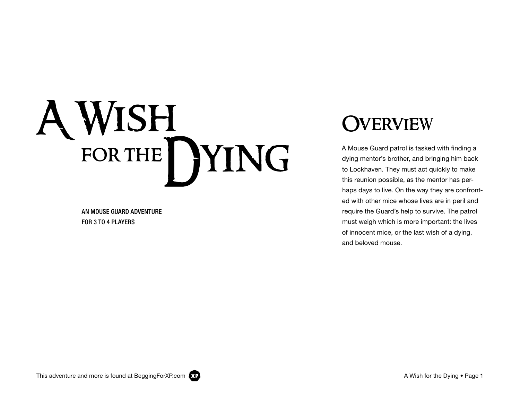# A Wish FOR THE DYING

AN MOUSE GUARD ADVENTURE FOR 3 TO 4 PLAYERS

### **JVERVIEW**

A Mouse Guard patrol is tasked with finding a dying mentor's brother, and bringing him back to Lockhaven. They must act quickly to make this reunion possible, as the mentor has perhaps days to live. On the way they are confronted with other mice whose lives are in peril and require the Guard's help to survive. The patrol must weigh which is more important: the lives of innocent mice, or the last wish of a dying, and beloved mouse.

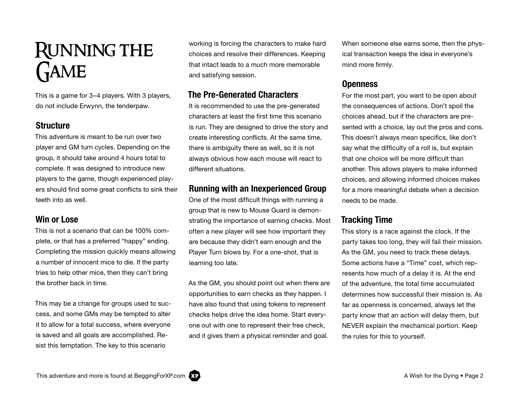### Running the **GAME**

This is a game for 3–4 players. With 3 players, do not include Erwynn, the tenderpaw.

#### **Structure**

This adventure is meant to be run over two player and GM turn cycles. Depending on the group, it should take around 4 hours total to complete. It was designed to introduce new players to the game, though experienced players should find some great conflicts to sink their teeth into as well.

#### Win or Lose

This is not a scenario that can be 100% complete, or that has a preferred "happy" ending. Completing the mission quickly means allowing a number of innocent mice to die. If the party tries to help other mice, then they can't bring the brother back in time.

This may be a change for groups used to success, and some GMs may be tempted to alter it to allow for a total success, where everyone is saved and all goals are accomplished. Resist this temptation. The key to this scenario

working is forcing the characters to make hard choices and resolve their differences. Keeping that intact leads to a much more memorable and satisfying session.

#### The Pre-Generated Characters

It is recommended to use the pre-generated characters at least the first time this scenario is run. They are designed to drive the story and create interesting conflicts. At the same time, there is ambiguity there as well, so it is not always obvious how each mouse will react to different situations.

#### Running with an Inexperienced Group

One of the most difficult things with running a group that is new to Mouse Guard is demonstrating the importance of earning checks. Most often a new player will see how important they are because they didn't earn enough and the Player Turn blows by. For a one-shot, that is learning too late.

As the GM, you should point out when there are opportunities to earn checks as they happen. I have also found that using tokens to represent checks helps drive the idea home. Start everyone out with one to represent their free check, and it gives them a physical reminder and goal.

When someone else earns some, then the physical transaction keeps the idea in everyone's mind more firmly.

#### **Openness**

For the most part, you want to be open about the consequences of actions. Don't spoil the choices ahead, but if the characters are presented with a choice, lay out the pros and cons. This doesn't always mean specifics, like don't say what the difficulty of a roll is, but explain that one choice will be more difficult than another. This allows players to make informed choices, and allowing informed choices makes for a more meaningful debate when a decision needs to be made.

#### Tracking Time

This story is a race against the clock. If the party takes too long, they will fail their mission. As the GM, you need to track these delays. Some actions have a "Time" cost, which represents how much of a delay it is. At the end of the adventure, the total time accumulated determines how successful their mission is. As far as openness is concerned, always let the party know that an action will delay them, but NEVER explain the mechanical portion. Keep the rules for this to yourself.

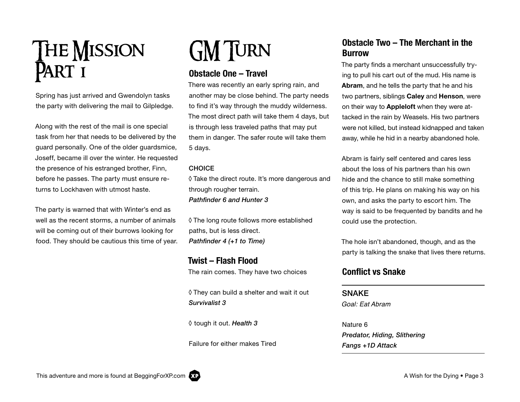# **THE MISSION** PART I

Spring has just arrived and Gwendolyn tasks the party with delivering the mail to Gilpledge.

Along with the rest of the mail is one special task from her that needs to be delivered by the guard personally. One of the older guardsmice, Joseff, became ill over the winter. He requested the presence of his estranged brother, Finn, before he passes. The party must ensure returns to Lockhaven with utmost haste.

The party is warned that with Winter's end as well as the recent storms, a number of animals will be coming out of their burrows looking for food. They should be cautious this time of year.

# GM TURN

#### Obstacle One – Travel

There was recently an early spring rain, and another may be close behind. The party needs to find it's way through the muddy wilderness. The most direct path will take them 4 days, but is through less traveled paths that may put them in danger. The safer route will take them 5 days.

#### **CHOICE**

◊ Take the direct route. It's more dangerous and through rougher terrain. *Pathfinder 6 and Hunter 3*

◊ The long route follows more established paths, but is less direct. *Pathfinder 4 (+1 to Time)*

#### Twist – Flash Flood The rain comes. They have two choices

◊ They can build a shelter and wait it out *Survivalist 3*

◊ tough it out. *Health 3*

Failure for either makes Tired

#### Obstacle Two – The Merchant in the Burrow

The party finds a merchant unsuccessfully trying to pull his cart out of the mud. His name is Abram, and he tells the party that he and his two partners, siblings Caley and Henson, were on their way to Appleloft when they were attacked in the rain by Weasels. His two partners were not killed, but instead kidnapped and taken away, while he hid in a nearby abandoned hole.

Abram is fairly self centered and cares less about the loss of his partners than his own hide and the chance to still make something of this trip. He plans on making his way on his own, and asks the party to escort him. The way is said to be frequented by bandits and he could use the protection.

The hole isn't abandoned, though, and as the party is talking the snake that lives there returns.

#### Conflict vs Snake

#### **SNAKE**

Goal: Eat Abram

Nature 6 *Predator, Hiding, Slithering Fangs +1D Attack*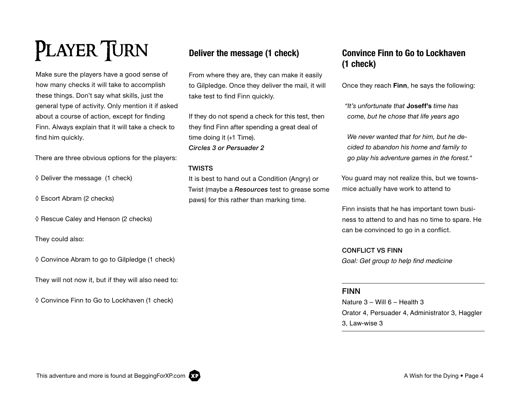# PLAYER TURN

Make sure the players have a good sense of how many checks it will take to accomplish these things. Don't say what skills, just the general type of activity. Only mention it if asked about a course of action, except for finding Finn. Always explain that it will take a check to find him quickly.

There are three obvious options for the players:

◊ Deliver the message (1 check)

◊ Escort Abram (2 checks)

◊ Rescue Caley and Henson (2 checks)

They could also:

◊ Convince Abram to go to Gilpledge (1 check)

They will not now it, but if they will also need to:

◊ Convince Finn to Go to Lockhaven (1 check)

#### Deliver the message (1 check)

From where they are, they can make it easily to Gilpledge. Once they deliver the mail, it will take test to find Finn quickly.

If they do not spend a check for this test, then they find Finn after spending a great deal of time doing it (+1 Time). *Circles 3 or Persuader 2*

#### TWISTS

It is best to hand out a Condition (Angry) or Twist (maybe a *Resources* test to grease some paws) for this rather than marking time.

#### Convince Finn to Go to Lockhaven (1 check)

Once they reach Finn, he says the following:

*"It's unfortunate that* Joseff's *time has come, but he chose that life years ago*

*We never wanted that for him, but he decided to abandon his home and family to go play his adventure games in the forest."*

You guard may not realize this, but we townsmice actually have work to attend to

Finn insists that he has important town business to attend to and has no time to spare. He can be convinced to go in a conflict.

CONFLICT VS FINN Goal: Get group to help find medicine

#### FINN

Nature 3 – Will 6 – Health 3 Orator 4, Persuader 4, Administrator 3, Haggler 3, Law-wise 3

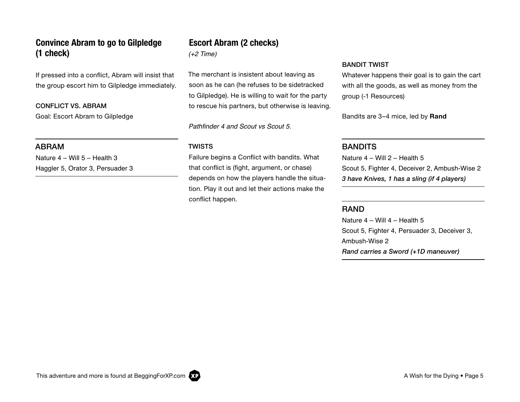#### Convince Abram to go to Gilpledge (1 check)

If pressed into a conflict, Abram will insist that the group escort him to Gilpledge immediately.

CONFLICT VS. ABRAM Goal: Escort Abram to Gilpledge

#### ABRAM

Nature 4 – Will 5 – Health 3 Haggler 5, Orator 3, Persuader 3

#### Escort Abram (2 checks)

(+2 Time)

The merchant is insistent about leaving as soon as he can (he refuses to be sidetracked to Gilpledge). He is willing to wait for the party to rescue his partners, but otherwise is leaving.

Pathfinder 4 and Scout vs Scout 5.

#### TWISTS

Failure begins a Conflict with bandits. What that conflict is (fight, argument, or chase) depends on how the players handle the situation. Play it out and let their actions make the conflict happen.

#### BANDIT TWIST

Whatever happens their goal is to gain the cart with all the goods, as well as money from the group (-1 Resources)

Bandits are 3–4 mice, led by Rand

#### **BANDITS**

Nature 4 – Will 2 – Health 5 Scout 5, Fighter 4, Deceiver 2, Ambush-Wise 2 *3 have Knives, 1 has a sling (if 4 players)*

#### RAND

Nature 4 – Will 4 – Health 5 Scout 5, Fighter 4, Persuader 3, Deceiver 3, Ambush-Wise 2 *Rand carries a Sword (+1D maneuver)*

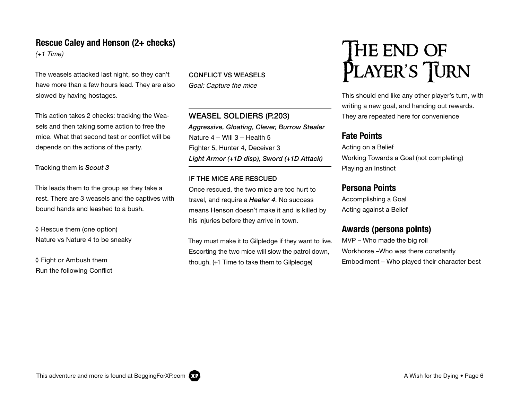#### Rescue Caley and Henson (2+ checks)

(+1 Time)

The weasels attacked last night, so they can't have more than a few hours lead. They are also slowed by having hostages.

This action takes 2 checks: tracking the Weasels and then taking some action to free the mice. What that second test or conflict will be depends on the actions of the party.

Tracking them is *Scout 3*

This leads them to the group as they take a rest. There are 3 weasels and the captives with bound hands and leashed to a bush.

◊ Rescue them (one option) Nature vs Nature 4 to be sneaky

◊ Fight or Ambush them Run the following Conflict CONFLICT VS WEASELS Goal: Capture the mice

WEASEL SOLDIERS (P.203) *Aggressive, Gloating, Clever, Burrow Stealer* Nature 4 – Will 3 – Health 5 Fighter 5, Hunter 4, Deceiver 3 *Light Armor (+1D disp), Sword (+1D Attack)*

#### IF THE MICE ARE RESCUED

Once rescued, the two mice are too hurt to travel, and require a *Healer 4*. No success means Henson doesn't make it and is killed by his injuries before they arrive in town.

They must make it to Gilpledge if they want to live. Escorting the two mice will slow the patrol down, though. (+1 Time to take them to Gilpledge)

# The end of PLAYER'S JURN

This should end like any other player's turn, with writing a new goal, and handing out rewards. They are repeated here for convenience

#### Fate Points

Acting on a Belief Working Towards a Goal (not completing) Playing an Instinct

#### Persona Points

Accomplishing a Goal Acting against a Belief

#### Awards (persona points)

MVP – Who made the big roll Workhorse –Who was there constantly Embodiment – Who played their character best

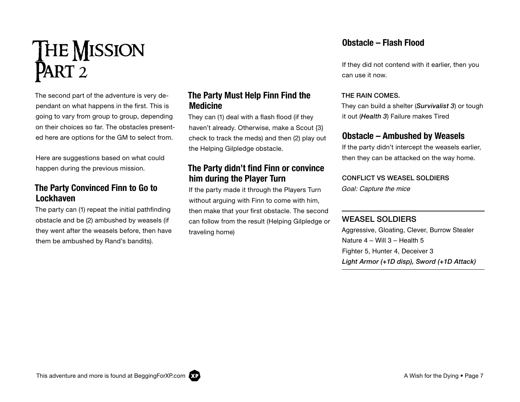

The second part of the adventure is very dependant on what happens in the first. This is going to vary from group to group, depending on their choices so far. The obstacles presented here are options for the GM to select from.

Here are suggestions based on what could happen during the previous mission.

#### The Party Convinced Finn to Go to Lockhaven

The party can (1) repeat the initial pathfinding obstacle and be (2) ambushed by weasels (if they went after the weasels before, then have them be ambushed by Rand's bandits).

#### The Party Must Help Finn Find the Medicine

They can (1) deal with a flash flood (if they haven't already. Otherwise, make a Scout {3} check to track the meds) and then (2) play out the Helping Gilpledge obstacle.

#### The Party didn't find Finn or convince him during the Player Turn

If the party made it through the Players Turn without arguing with Finn to come with him, then make that your first obstacle. The second can follow from the result (Helping Gilpledge or traveling home)

#### Obstacle – Flash Flood

If they did not contend with it earlier, then you can use it now.

#### THE RAIN COMES.

They can build a shelter (*Survivalist 3*) or tough it out (*Health 3*) Failure makes Tired

#### Obstacle – Ambushed by Weasels

If the party didn't intercept the weasels earlier, then they can be attacked on the way home.

#### CONFLICT VS WEASEL SOLDIERS

Goal: Capture the mice

#### WEASEL SOLDIERS

Aggressive, Gloating, Clever, Burrow Stealer Nature 4 – Will 3 – Health 5 Fighter 5, Hunter 4, Deceiver 3 *Light Armor (+1D disp), Sword (+1D Attack)*

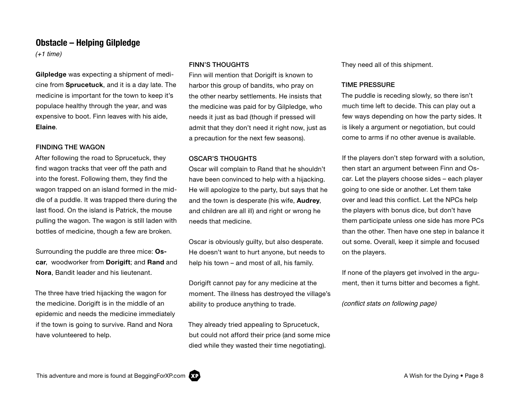#### Obstacle – Helping Gilpledge

 $(+1$  time)

Gilpledge was expecting a shipment of medicine from Sprucetuck, and it is a day late. The medicine is important for the town to keep it's populace healthy through the year, and was expensive to boot. Finn leaves with his aide, Elaine.

#### FINDING THE WAGON

After following the road to Sprucetuck, they find wagon tracks that veer off the path and into the forest. Following them, they find the wagon trapped on an island formed in the middle of a puddle. It was trapped there during the last flood. On the island is Patrick, the mouse pulling the wagon. The wagon is still laden with bottles of medicine, though a few are broken.

Surrounding the puddle are three mice: Oscar, woodworker from Dorigift; and Rand and Nora, Bandit leader and his lieutenant.

The three have tried hijacking the wagon for the medicine. Dorigift is in the middle of an epidemic and needs the medicine immediately if the town is going to survive. Rand and Nora have volunteered to help.

#### FINN'S THOUGHTS

Finn will mention that Dorigift is known to harbor this group of bandits, who pray on the other nearby settlements. He insists that the medicine was paid for by Gilpledge, who needs it just as bad (though if pressed will admit that they don't need it right now, just as a precaution for the next few seasons).

#### OSCAR'S THOUGHTS

Oscar will complain to Rand that he shouldn't have been convinced to help with a hijacking. He will apologize to the party, but says that he and the town is desperate (his wife, Audrey, and children are all ill) and right or wrong he needs that medicine.

Oscar is obviously guilty, but also desperate. He doesn't want to hurt anyone, but needs to help his town – and most of all, his family.

Dorigift cannot pay for any medicine at the moment. The illness has destroyed the village's ability to produce anything to trade.

They already tried appealing to Sprucetuck, but could not afford their price (and some mice died while they wasted their time negotiating).

They need all of this shipment.

#### TIME PRESSURE

The puddle is receding slowly, so there isn't much time left to decide. This can play out a few ways depending on how the party sides. It is likely a argument or negotiation, but could come to arms if no other avenue is available.

If the players don't step forward with a solution, then start an argument between Finn and Oscar. Let the players choose sides – each player going to one side or another. Let them take over and lead this conflict. Let the NPCs help the players with bonus dice, but don't have them participate unless one side has more PCs than the other. Then have one step in balance it out some. Overall, keep it simple and focused on the players.

If none of the players get involved in the argument, then it turns bitter and becomes a fight.

(conflict stats on following page)

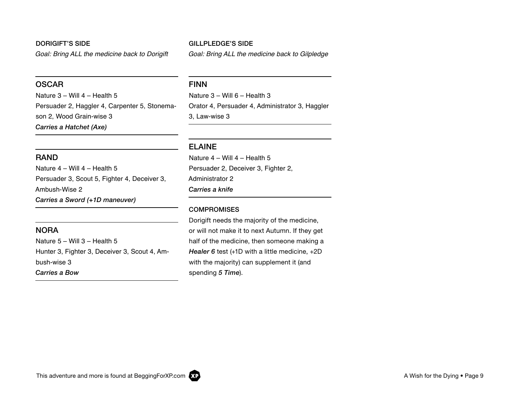#### DORIGIFT'S SIDE

Goal: Bring ALL the medicine back to Dorigift

#### **OSCAR**

Nature 3 – Will 4 – Health 5 Persuader 2, Haggler 4, Carpenter 5, Stonemason 2, Wood Grain-wise 3 *Carries a Hatchet (Axe)*

#### RAND

Nature 4 – Will 4 – Health 5 Persuader 3, Scout 5, Fighter 4, Deceiver 3, Ambush-Wise 2 *Carries a Sword (+1D maneuver)*

#### **NORA**

Nature 5 – Will 3 – Health 5 Hunter 3, Fighter 3, Deceiver 3, Scout 4, Ambush-wise 3 *Carries a Bow*

#### GILLPLEDGE'S SIDE

Goal: Bring ALL the medicine back to Gilpledge

#### FINN

Nature 3 – Will 6 – Health 3 Orator 4, Persuader 4, Administrator 3, Haggler 3, Law-wise 3

#### ELAINE

Nature 4 – Will 4 – Health 5 Persuader 2, Deceiver 3, Fighter 2, Administrator 2 *Carries a knife*

#### **COMPROMISES**

Dorigift needs the majority of the medicine, or will not make it to next Autumn. If they get half of the medicine, then someone making a *Healer 6* test (+1D with a little medicine, +2D with the majority) can supplement it (and spending *5 Time*).

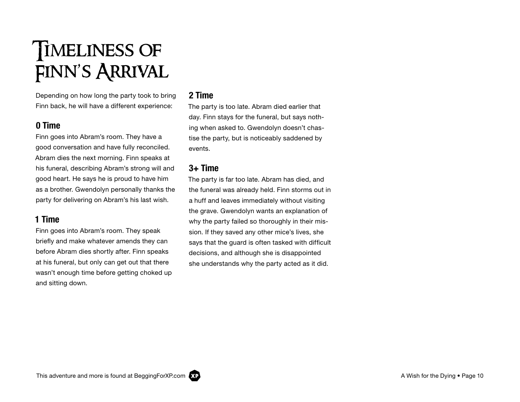## TIMELINESS OF Finn's Arrival

Depending on how long the party took to bring Finn back, he will have a different experience:

#### 0 Time

Finn goes into Abram's room. They have a good conversation and have fully reconciled. Abram dies the next morning. Finn speaks at his funeral, describing Abram's strong will and good heart. He says he is proud to have him as a brother. Gwendolyn personally thanks the party for delivering on Abram's his last wish.

#### 1 Time

Finn goes into Abram's room. They speak briefly and make whatever amends they can before Abram dies shortly after. Finn speaks at his funeral, but only can get out that there wasn't enough time before getting choked up and sitting down.

#### 2 Time

The party is too late. Abram died earlier that day. Finn stays for the funeral, but says nothing when asked to. Gwendolyn doesn't chastise the party, but is noticeably saddened by events.

#### $3+$  Time

The party is far too late. Abram has died, and the funeral was already held. Finn storms out in a huff and leaves immediately without visiting the grave. Gwendolyn wants an explanation of why the party failed so thoroughly in their mission. If they saved any other mice's lives, she says that the guard is often tasked with difficult decisions, and although she is disappointed she understands why the party acted as it did.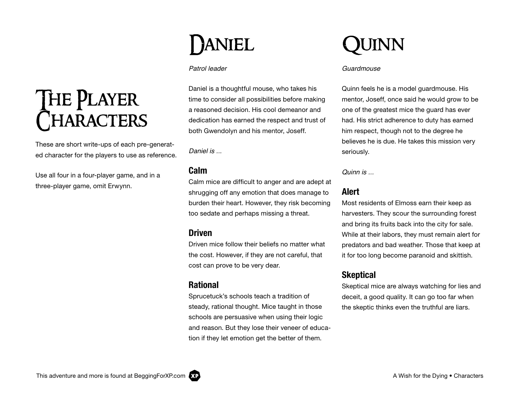# The Player **CHARACTERS**

These are short write-ups of each pre-generated character for the players to use as reference.

Use all four in a four-player game, and in a three-player game, omit Erwynn.

# DANIEL

#### Patrol leader

Daniel is a thoughtful mouse, who takes his time to consider all possibilities before making a reasoned decision. His cool demeanor and dedication has earned the respect and trust of both Gwendolyn and his mentor, Joseff.

Daniel is ...

#### Calm

Calm mice are difficult to anger and are adept at shrugging off any emotion that does manage to burden their heart. However, they risk becoming too sedate and perhaps missing a threat.

#### Driven

Driven mice follow their beliefs no matter what the cost. However, if they are not careful, that cost can prove to be very dear.

#### Rational

Sprucetuck's schools teach a tradition of steady, rational thought. Mice taught in those schools are persuasive when using their logic and reason. But they lose their veneer of education if they let emotion get the better of them.



#### Guardmouse

Quinn feels he is a model guardmouse. His mentor, Joseff, once said he would grow to be one of the greatest mice the guard has ever had. His strict adherence to duty has earned him respect, though not to the degree he believes he is due. He takes this mission very seriously.

Quinn is ...

#### Alert

Most residents of Elmoss earn their keep as harvesters. They scour the surrounding forest and bring its fruits back into the city for sale. While at their labors, they must remain alert for predators and bad weather. Those that keep at it for too long become paranoid and skittish.

#### **Skeptical**

Skeptical mice are always watching for lies and deceit, a good quality. It can go too far when the skeptic thinks even the truthful are liars.

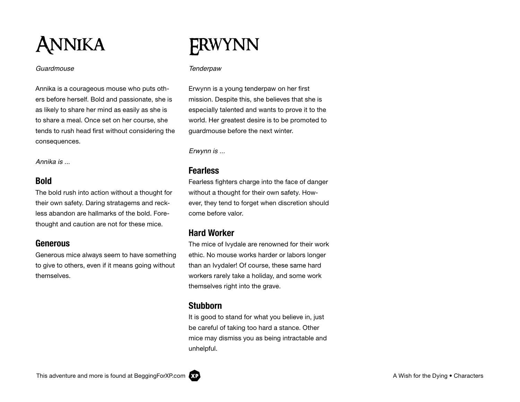

#### Guardmouse

Annika is a courageous mouse who puts others before herself. Bold and passionate, she is as likely to share her mind as easily as she is to share a meal. Once set on her course, she tends to rush head first without considering the consequences.

Annika is ...

#### Bold

The bold rush into action without a thought for their own safety. Daring stratagems and reckless abandon are hallmarks of the bold. Forethought and caution are not for these mice.

#### Generous

Generous mice always seem to have something to give to others, even if it means going without themselves.

### Erwynn

#### **Tenderpaw**

Erwynn is a young tenderpaw on her first mission. Despite this, she believes that she is especially talented and wants to prove it to the world. Her greatest desire is to be promoted to guardmouse before the next winter.

Erwynn is ...

#### **Fearless**

Fearless fighters charge into the face of danger without a thought for their own safety. However, they tend to forget when discretion should come before valor.

#### Hard Worker

The mice of Ivydale are renowned for their work ethic. No mouse works harder or labors longer than an Ivydaler! Of course, these same hard workers rarely take a holiday, and some work themselves right into the grave.

#### Stubborn

It is good to stand for what you believe in, just be careful of taking too hard a stance. Other mice may dismiss you as being intractable and unhelpful.

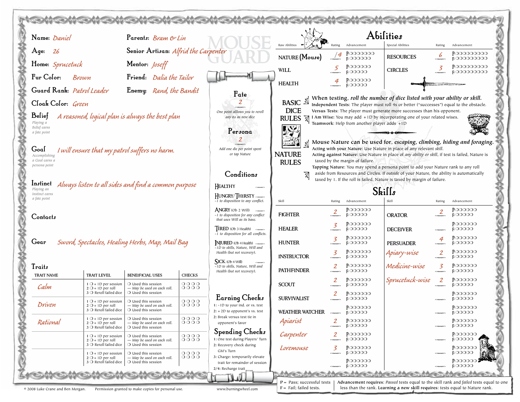| Name: Daniel                              |                                                                                                 | Parents: Bram & Lin                                                                         |                               |                                                                                                          |                               |                                         |                                              | <b>Abilities</b>                                                                                                                                                        |                     |                                              |
|-------------------------------------------|-------------------------------------------------------------------------------------------------|---------------------------------------------------------------------------------------------|-------------------------------|----------------------------------------------------------------------------------------------------------|-------------------------------|-----------------------------------------|----------------------------------------------|-------------------------------------------------------------------------------------------------------------------------------------------------------------------------|---------------------|----------------------------------------------|
| Age:<br>26                                |                                                                                                 | Senior Artisan: Alfrid the Carpenter                                                        |                               |                                                                                                          | Raw Abilities                 | Rating                                  | Advancement<br>$P:$ 0000000                  | Special Abilities                                                                                                                                                       | Rating              | Advancement<br>P:000000000                   |
| Home: Sprucetuck                          |                                                                                                 | Mentor: <i>Joseff</i>                                                                       |                               |                                                                                                          | NATURE (Mouse)                | $\frac{14}{1}$                          | <b>ROOOOO</b>                                | <b>RESOURCES</b>                                                                                                                                                        | 6<br>социалис       | <b>EOOOOOOOO</b>                             |
| Fur Color:                                |                                                                                                 |                                                                                             |                               |                                                                                                          | <b>WILL</b>                   | $\mathcal{F}$                           | P:000000<br><b>EOOOOO</b>                    | <b>CIRCLES</b>                                                                                                                                                          | 3                   | P:00000000<br><b>E 000000000</b>             |
|                                           | Brown                                                                                           | Friend: Dalia the Tailor                                                                    |                               |                                                                                                          | <b>HEALTH</b>                 | 4                                       | <b>P:000000</b><br>$F$ OOOOO                 |                                                                                                                                                                         |                     |                                              |
| Guard Rank: Patrol Leader                 |                                                                                                 | Enemy: Rand, the Bandit                                                                     |                               | Fate                                                                                                     |                               |                                         |                                              | When testing, roll the number of dice listed with your ability or skill.                                                                                                |                     |                                              |
| Cloak Color: Green                        |                                                                                                 |                                                                                             |                               |                                                                                                          | <b>BASIC</b><br><b>DICE</b>   |                                         |                                              | Independent Tests: The player must roll 4s or better ("successes") equal to the obstacle.                                                                               |                     |                                              |
| Belief                                    |                                                                                                 | A reasoned, logical plan is always the best plan                                            |                               | One point alllows you to reroll<br>any 6s as new dice                                                    | <b>RULES</b><br>风             |                                         |                                              | Versus Tests: The player must generate more successes than his opponent.<br>I Am Wise: You may add +1D by incorporating one of your related wises.                      |                     |                                              |
| Playing a<br>Belief earns<br>a fate point |                                                                                                 |                                                                                             |                               | Persona                                                                                                  | J.S.                          |                                         | Teamwork: Help from another player adds +1D  |                                                                                                                                                                         |                     |                                              |
|                                           |                                                                                                 |                                                                                             |                               |                                                                                                          |                               |                                         |                                              | Mouse Nature can be used for, escaping, climbing, hiding and foraging.                                                                                                  |                     |                                              |
| Goal<br>Accomplishing                     |                                                                                                 | I will ensure that my patrol suffers no harm.                                               |                               | Add one die per point spent<br>or tap Nature                                                             | <b>NATURE</b>                 |                                         |                                              | Acting with your Nature: Use Nature in place of any relevant skill.<br>Acting against Nature: Use Nature in place of any ability or skill, if test is failed, Nature is |                     |                                              |
| a Goal earns a<br>persona point           |                                                                                                 |                                                                                             |                               |                                                                                                          | <b>RULES</b>                  |                                         | taxed by the margin of failure.              | Tapping Nature: You may spend a persona point to add your Nature rank to any roll                                                                                       |                     |                                              |
|                                           |                                                                                                 |                                                                                             |                               | Conditions                                                                                               |                               |                                         |                                              | aside from Resources and Circles. If outside of your Nature, the ability is automatically<br>taxed by 1. If the roll is failed, Nature is taxed by margin of failure.   |                     |                                              |
| Instinct<br>Playing an                    |                                                                                                 | Always listen to all sides and find a common purpose                                        |                               | HEALTHY                                                                                                  | Skills                        |                                         |                                              |                                                                                                                                                                         |                     |                                              |
| Instinct earns<br>a fate point            |                                                                                                 |                                                                                             |                               | HUNGRY/THIRSTY<br>-1 to disposition to any conflict.                                                     | Skill                         | Rating                                  | Advancement                                  | Skill                                                                                                                                                                   | Rating              | Advancement                                  |
| Contacts                                  |                                                                                                 |                                                                                             |                               | <b>ANGRY</b> (Ob 2 Will)<br>courses<br>-1 to disposition for any conflict<br>that uses Will as its base. | <b>FIGHTER</b>                | $\overline{2}$<br><b>GRANDERY</b>       | P:000000<br><b>ROOOOO</b>                    | <b>ORATOR</b>                                                                                                                                                           |                     | $P:$ 000000<br><b>EOOOOO</b>                 |
|                                           |                                                                                                 |                                                                                             |                               | <b>IRED</b> (Ob 3 Health)<br>courses                                                                     | <b>HEALER</b>                 |                                         | P:000000<br><b>ROOOOO</b>                    | <b>DECEIVER</b>                                                                                                                                                         |                     | P:000000<br><b>EOOOOO</b>                    |
| Gear                                      |                                                                                                 | Sword, Spectacles, Healing Herbs, Map, Mail Bag                                             |                               | -1 to disposition for all conflicts.<br>NJURED (Ob 4 Health)<br>-1D to skills, Nature, Will and          | <b>HUNTER</b>                 | 3                                       | P:000000<br><b>ROOOOO</b>                    | <b>PERSUADER</b>                                                                                                                                                        |                     | P:000000<br><b>EOOOOO</b>                    |
|                                           |                                                                                                 |                                                                                             |                               | Health (but not recovery).                                                                               | <b>INSTRUCTOR</b>             | 3<br>социалоги                          | P:000000<br><b>FOOOOO</b>                    | Apiary-wise                                                                                                                                                             | 2<br>.<br>Februaren | P:000000<br><b>EOOOOO</b>                    |
| Traits<br><b>TRAIT NAME</b>               | <b>TRAIT LEVEL</b>                                                                              | <b>BENEIFICIAL USES</b>                                                                     | <b>CHECKS</b>                 | $SICK$ (Ob 4 Will)<br>-1D to skills, Nature, Will and<br>Health (but not recovery).                      | <b>PATHFINDER</b>             | 2<br><b>COMMERCT</b>                    | P:000000<br><b>ROOOOO</b>                    | Medicine-wise                                                                                                                                                           | 3<br>симмент        | P:000000<br><b>FOOOOO</b>                    |
| Calm                                      | $1$ O + 1D per session<br>$2O + 1D$ per roll                                                    | $\bigcirc$ Used this session<br>- May be used on each roll.                                 | 0000<br>0000                  |                                                                                                          | <b>SCOUT</b>                  |                                         | P:000000<br><b>EOOOOO</b>                    | Sprucetuck-wise                                                                                                                                                         | 2                   | P:OOOOOO<br><b>FOOOOO</b>                    |
|                                           | 3 O Reroll failed dice                                                                          | $\bigcirc$ Used this session                                                                |                               | Earning Checks                                                                                           | <b>SURVIVALIST</b>            |                                         | P:000000<br>$E$ OOOO                         |                                                                                                                                                                         |                     | <b>P:00000</b><br>$E$ OOOO                   |
| Driven                                    | $1$ O + 1D per session<br>$\sqrt{2}$ + 1D per roll<br>$\mathbf 3$ $\bigcirc$ Reroll failed dice | $\bigcirc$ Used this session<br>— May be used on each roll.<br>$\bigcirc$ Used this session | 0000<br>$\circ\,\circ\,\circ$ | 1: -1D to your ind. or vs. test<br>$2: +2D$ to opponent's vs. test                                       | WEATHER WATCHER               | симмент                                 | P:000000<br><b>ROOOOO</b>                    |                                                                                                                                                                         |                     | P:00000<br><b>FOOOOO</b>                     |
| Rational                                  | $1$ O + 1D per session<br>$2O + 1D$ per roll<br>3 O Reroll failed dice                          | $\bigcirc$ Used this session<br>- May be used on each roll.<br>$\bigcirc$ Used this session | 0000<br>0000                  | 2: Break versus test tie in<br>opponent's favor                                                          | Apiarist                      | $\overline{2}$                          | <b>P:000000</b><br><b>ROOOOO</b>             |                                                                                                                                                                         | <b>COMMERCY</b>     | <b>P:000000</b><br><b>EOOOOO</b>             |
|                                           | $1$ O + 1D per session<br>$2O + 1D$ per roll<br>3 O Reroll failed dice                          | $\bigcirc$ Used this session<br>- May be used on each roll.<br>$\bigcirc$ Used this session | 0000<br>0000                  | Spending Checks<br>1: One test during Players' Turn<br>2: Recovery check during                          | Carpenter                     | $\mathcal{Z}_{\mathcal{C}}$<br>rsassars | P:OOOOOO<br><b>ROOOOO</b>                    |                                                                                                                                                                         |                     | P:000000<br><b>FOOOOO</b>                    |
|                                           | $1$ O + 1D per session<br>$2O + 1D$ per roll                                                    | $\bigcirc$ Used this session<br>- May be used on each roll.                                 | 0000<br>0000                  | GM's Turn<br>3: Charge: temporarily elevate                                                              | Loremouse                     | 3                                       | P:OOOOOO<br><b>FOOOOO</b><br><b>P:000000</b> |                                                                                                                                                                         |                     | P:OOOOOO<br><b>EOOOOO</b><br><b>P:000000</b> |
|                                           | $3$ $\bigcirc$ Reroll failed dice                                                               | $\bigcirc$ Used this session                                                                |                               | trait for remainder of session<br>2/4: Recharge trait                                                    |                               |                                         | <b>ROOOOO</b>                                |                                                                                                                                                                         |                     | <b>EOOOOO</b>                                |
|                                           |                                                                                                 |                                                                                             |                               |                                                                                                          | $P = Pass$ ; successful tests |                                         |                                              | Advancement requires: Passed tests equal to the skill rank and failed tests equal to one                                                                                |                     |                                              |
| © 2008 Luke Crane and Ben Morgan.         |                                                                                                 | Permission granted to make copies for personal use.                                         |                               | www.burningwheel.com                                                                                     | $F =$ Fail; failed tests.     |                                         |                                              | less than the rank. Learning a new skill requires: tests equal to Nature rank.                                                                                          |                     |                                              |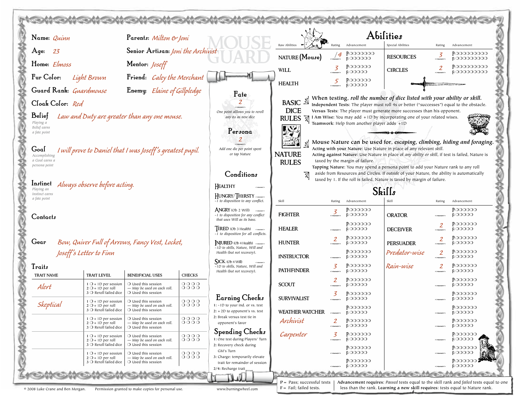|              | Name: Quinn                                                                                                                                                                                                                                                                                                                                                                                                                                                                                                                                                                                                                                                                                                                                                                                                                                                                                                                                                                                                                                                                                                                                                                                                                                                                                                                                                                                       |                                                                                   | Parents: Milton & Joni                                                                      |               |                                                                                                 |                        |                      |                                               | Abilities                                                                |                                   |                                             |
|--------------|---------------------------------------------------------------------------------------------------------------------------------------------------------------------------------------------------------------------------------------------------------------------------------------------------------------------------------------------------------------------------------------------------------------------------------------------------------------------------------------------------------------------------------------------------------------------------------------------------------------------------------------------------------------------------------------------------------------------------------------------------------------------------------------------------------------------------------------------------------------------------------------------------------------------------------------------------------------------------------------------------------------------------------------------------------------------------------------------------------------------------------------------------------------------------------------------------------------------------------------------------------------------------------------------------------------------------------------------------------------------------------------------------|-----------------------------------------------------------------------------------|---------------------------------------------------------------------------------------------|---------------|-------------------------------------------------------------------------------------------------|------------------------|----------------------|-----------------------------------------------|--------------------------------------------------------------------------|-----------------------------------|---------------------------------------------|
|              | 23<br>Age:                                                                                                                                                                                                                                                                                                                                                                                                                                                                                                                                                                                                                                                                                                                                                                                                                                                                                                                                                                                                                                                                                                                                                                                                                                                                                                                                                                                        |                                                                                   | Senior Artisan: Joni the Archivist                                                          |               |                                                                                                 |                        | Rating               | Advancement<br>P:0000000                      | Special Abilities                                                        | Rating<br>$\overline{3}$          | Advancement<br>P:00000000                   |
|              | Home: <i>Elmoss</i>                                                                                                                                                                                                                                                                                                                                                                                                                                                                                                                                                                                                                                                                                                                                                                                                                                                                                                                                                                                                                                                                                                                                                                                                                                                                                                                                                                               |                                                                                   | Mentor: <i>Joseff</i>                                                                       |               |                                                                                                 | NATURE (Mouse)         | $\frac{14}{1}$       | <b>ROOOOO</b><br>P:000000                     | <b>RESOURCES</b>                                                         | совмент                           | <b>EOOOOOOOO</b><br>P:000000000             |
|              | Fur Color:                                                                                                                                                                                                                                                                                                                                                                                                                                                                                                                                                                                                                                                                                                                                                                                                                                                                                                                                                                                                                                                                                                                                                                                                                                                                                                                                                                                        | Light Brown                                                                       | Friend: Caley the Merchant                                                                  |               |                                                                                                 | WILL                   | 3                    | <b>ROOOOO</b>                                 | <b>CIRCLES</b>                                                           | $\overline{2}$                    | <b>E000000000</b>                           |
|              |                                                                                                                                                                                                                                                                                                                                                                                                                                                                                                                                                                                                                                                                                                                                                                                                                                                                                                                                                                                                                                                                                                                                                                                                                                                                                                                                                                                                   |                                                                                   |                                                                                             |               |                                                                                                 | <b>HEALTH</b>          |                      | <b>P:00000</b><br>$Fc$ 00000                  |                                                                          |                                   |                                             |
|              | Enemy: Elaine of Gillpledge<br>Guard Rank: Guardmouse<br>Fate<br>When testing, roll the number of dice listed with your ability or skill.<br><b>BASIC</b><br>Cloak Color: Red<br>Independent Tests: The player must roll 4s or better ("successes") equal to the obstacle.<br><b>DICE</b><br>Versus Tests: The player must generate more successes than his opponent.<br>One point alllows you to reroll<br>Belief<br>Law and Duty are greater than any one mouse.<br>I Am Wise: You may add +1D by incorporating one of your related wises.<br>any 6s as new dice<br><b>RULES</b><br>M<br>Playing a<br>Teamwork: Help from another player adds +1D<br>Belief earns<br>Persona<br>a fate point<br>Mouse Nature can be used for, escaping, climbing, hiding and foraging.<br>Acting with your Nature: Use Nature in place of any relevant skill.<br>Add one die per point spent<br>I will prove to Daniel that I was Joseff's greatest pupil.<br>Goal<br><b>NATURE</b><br>or tap Nature<br>Acting against Nature: Use Nature in place of any ability or skill, if test is failed, Nature is<br>Accomplishing<br>a Goal earns a<br>taxed by the margin of failure.<br><b>RULES</b><br>persona point<br>Tapping Nature: You may spend a persona point to add your Nature rank to any roll<br>aside from Resources and Circles. If outside of your Nature, the ability is automatically<br>Conditions |                                                                                   |                                                                                             |               |                                                                                                 |                        |                      |                                               |                                                                          |                                   |                                             |
|              | Instinct<br>Playing an                                                                                                                                                                                                                                                                                                                                                                                                                                                                                                                                                                                                                                                                                                                                                                                                                                                                                                                                                                                                                                                                                                                                                                                                                                                                                                                                                                            | Always observe before acting.                                                     |                                                                                             |               | HEALTHY                                                                                         |                        |                      |                                               | taxed by 1. If the roll is failed, Nature is taxed by margin of failure. |                                   |                                             |
|              | Instinct earns<br>a fate point                                                                                                                                                                                                                                                                                                                                                                                                                                                                                                                                                                                                                                                                                                                                                                                                                                                                                                                                                                                                                                                                                                                                                                                                                                                                                                                                                                    |                                                                                   |                                                                                             |               | HUNGRY/THIRSTY<br>-1 to disposition to any conflict.                                            | Skill                  | Rating               | Skills<br>Advancement                         |                                                                          | Rating                            | Advancement                                 |
|              | Contacts                                                                                                                                                                                                                                                                                                                                                                                                                                                                                                                                                                                                                                                                                                                                                                                                                                                                                                                                                                                                                                                                                                                                                                                                                                                                                                                                                                                          |                                                                                   |                                                                                             |               | <b>ANGRY</b> (Ob 2 Will)<br>-1 to disposition for any conflict<br>that uses Will as its base.   | <b>FIGHTER</b>         |                      | P:000000<br><b>ROOOOO</b>                     | <b>ORATOR</b>                                                            |                                   | P:000000<br><b>EOOOOO</b>                   |
|              |                                                                                                                                                                                                                                                                                                                                                                                                                                                                                                                                                                                                                                                                                                                                                                                                                                                                                                                                                                                                                                                                                                                                                                                                                                                                                                                                                                                                   |                                                                                   |                                                                                             |               | <b>IRED</b> (Ob 3 Health)                                                                       | <b>HEALER</b>          |                      | P:000000<br><b>ROOOOO</b>                     | <b>DECEIVER</b>                                                          | $\overline{2}$<br><b>COMMERCT</b> | P:000000<br><b>FOOOOO</b>                   |
|              | Gear                                                                                                                                                                                                                                                                                                                                                                                                                                                                                                                                                                                                                                                                                                                                                                                                                                                                                                                                                                                                                                                                                                                                                                                                                                                                                                                                                                                              |                                                                                   | Bow, Quiver Full of Arrows, Fancy Vest, Locket,                                             |               | -1 to disposition for all conflicts.<br>NJURED (Ob 4 Health)<br>-1D to skills, Nature, Will and | <b>HUNTER</b>          |                      | P:000000<br><b>ROOOOO</b>                     | <b>PERSUADER</b>                                                         | 2<br><b>COMMERC</b>               | P:000000<br><b>FOOOOO</b>                   |
|              |                                                                                                                                                                                                                                                                                                                                                                                                                                                                                                                                                                                                                                                                                                                                                                                                                                                                                                                                                                                                                                                                                                                                                                                                                                                                                                                                                                                                   | Joseff's Letter to Finn                                                           |                                                                                             |               | Health (but not recovery).<br>$SICK$ (Ob 4 Will)                                                | <b>INSTRUCTOR</b>      |                      | P:000000<br><b>ROOOOO</b>                     | Predator-wise                                                            | $\overline{2}$<br><b>COMMERC</b>  | P:000000<br><b>FOOOOO</b>                   |
|              | Traits<br><b>TRAIT NAME</b>                                                                                                                                                                                                                                                                                                                                                                                                                                                                                                                                                                                                                                                                                                                                                                                                                                                                                                                                                                                                                                                                                                                                                                                                                                                                                                                                                                       | <b>TRAIT LEVEL</b>                                                                | <b>BENEIFICIAL USES</b>                                                                     | <b>CHECKS</b> | $-1D$ to skills. Nature, Will and<br>Health (but not recovery).                                 | <b>PATHFINDER</b>      | ζ<br>.<br>Граманског | $P:$ 000000<br><b>ROOOOO</b>                  | Rain-wise                                                                | 2                                 | P:OOOOOO<br><b>FOOOOO</b>                   |
|              | Alert                                                                                                                                                                                                                                                                                                                                                                                                                                                                                                                                                                                                                                                                                                                                                                                                                                                                                                                                                                                                                                                                                                                                                                                                                                                                                                                                                                                             | $1$ O + 1D per session<br>$2O + 1D$ per roll                                      | O Used this session<br>- May be used on each roll.                                          | 0000<br>0000  |                                                                                                 | <b>SCOUT</b>           |                      | P:OOOOOO<br><b>ROOOOO</b>                     |                                                                          |                                   | P:OOOOOO<br><b>FOOOOO</b>                   |
|              |                                                                                                                                                                                                                                                                                                                                                                                                                                                                                                                                                                                                                                                                                                                                                                                                                                                                                                                                                                                                                                                                                                                                                                                                                                                                                                                                                                                                   | $3$ $\bigcirc$ Reroll failed dice<br>$1$ O + 1D per session                       | O Used this session<br>$\bigcirc$ Used this session                                         | 0000          | Earning Checks                                                                                  | <b>SURVIVALIST</b>     |                      | P:000000<br><b>ROOOOO</b>                     |                                                                          |                                   | <b>P:000000</b><br>$F.$ 00000               |
|              | Skeptical                                                                                                                                                                                                                                                                                                                                                                                                                                                                                                                                                                                                                                                                                                                                                                                                                                                                                                                                                                                                                                                                                                                                                                                                                                                                                                                                                                                         | $2 \cup + 1D$ per roll<br>$3$ $\bigcirc$ Reroll failed dice                       | — May be used on each roll.<br>O Used this session                                          | JUUU          | 1: -1D to your ind. or vs. test<br>$2: +2D$ to opponent's vs. test                              | <b>WEATHER WATCHER</b> |                      | $P:$ 000000<br><b>EOOOOO</b>                  |                                                                          |                                   | P:OOOOOO<br><b>EOOOOO</b>                   |
|              |                                                                                                                                                                                                                                                                                                                                                                                                                                                                                                                                                                                                                                                                                                                                                                                                                                                                                                                                                                                                                                                                                                                                                                                                                                                                                                                                                                                                   | $1$ O + 1D per session<br>$2O + 1D$ per roll<br>$3$ $\bigcirc$ Reroll failed dice | $O$ Used this session<br>- May be used on each roll.<br>O Used this session                 | 0000<br>0000  | 2: Break versus test tie in<br>opponent's favor                                                 | Archivist              | 2<br><b>COMMERCT</b> | P:OOOOOO<br><b>ROOOOO</b>                     |                                                                          |                                   | P:OOOOOO<br><b>EOOOOO</b>                   |
| <b>SCORE</b> |                                                                                                                                                                                                                                                                                                                                                                                                                                                                                                                                                                                                                                                                                                                                                                                                                                                                                                                                                                                                                                                                                                                                                                                                                                                                                                                                                                                                   | $1$ O + 1D per session<br>$2O + 1D$ per roll<br>$3$ $\bigcirc$ Reroll failed dice | $\bigcirc$ Used this session<br>- May be used on each roll.<br>$O$ Used this session        | 0000<br>0000  | Spending Checks<br>1: One test during Players' Turn<br>2: Recovery check during                 | Carpenter              | 3<br>социацией       | $P:$ 000000<br><b>EOOOOO</b><br>$P:$ 000000   |                                                                          |                                   | P:OOOOOO<br><b>FOOOOO</b><br>P:000000       |
|              |                                                                                                                                                                                                                                                                                                                                                                                                                                                                                                                                                                                                                                                                                                                                                                                                                                                                                                                                                                                                                                                                                                                                                                                                                                                                                                                                                                                                   | $1$ O + 1D per session<br>$2O + 1D$ per roll<br>$3$ $\bigcirc$ Reroll failed dice | $\bigcirc$ Used this session<br>- May be used on each roll.<br>$\bigcirc$ Used this session | 0000<br>0000  | GM's Turn<br>3: Charge: temporarily elevate<br>trait for remainder of session                   |                        |                      | <b>EOOOOO</b><br>$P:$ 000000<br><b>ROOOOO</b> |                                                                          |                                   | <b>EOOOOO</b><br>P:OOOOOO<br><b>F:00000</b> |
|              |                                                                                                                                                                                                                                                                                                                                                                                                                                                                                                                                                                                                                                                                                                                                                                                                                                                                                                                                                                                                                                                                                                                                                                                                                                                                                                                                                                                                   |                                                                                   |                                                                                             |               | 2/4: Recharge trait                                                                             |                        |                      | <b>B. Profitz</b>                             |                                                                          |                                   |                                             |
|              | $P = Pass$ ; successful tests<br>Advancement requires: Passed tests equal to the skill rank and failed tests equal to one<br>$F =$ Fail; failed tests.<br>less than the rank. Learning a new skill requires: tests equal to Nature rank.<br>© 2008 Luke Crane and Ben Morgan.<br>Permission granted to make copies for personal use.<br>www.burningwheel.com                                                                                                                                                                                                                                                                                                                                                                                                                                                                                                                                                                                                                                                                                                                                                                                                                                                                                                                                                                                                                                      |                                                                                   |                                                                                             |               |                                                                                                 |                        |                      |                                               |                                                                          |                                   |                                             |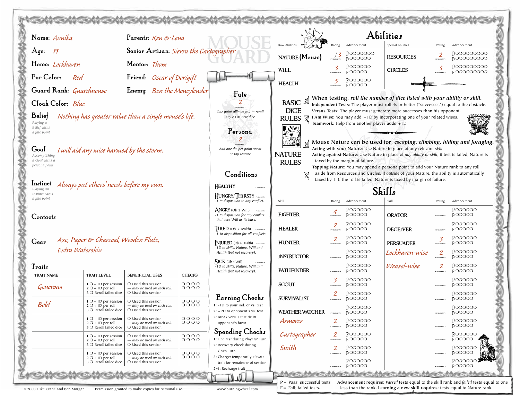| Name: Annika                                                                                    | Parents: Ken & Lena                                                                         |                                   |                                                                                                         |                                                            |                                |                                             | Abilities                                                                                                                                                                      |                 |                                  |
|-------------------------------------------------------------------------------------------------|---------------------------------------------------------------------------------------------|-----------------------------------|---------------------------------------------------------------------------------------------------------|------------------------------------------------------------|--------------------------------|---------------------------------------------|--------------------------------------------------------------------------------------------------------------------------------------------------------------------------------|-----------------|----------------------------------|
| Age:<br>- 19                                                                                    | Senior Artisan: Sierra the Cartographer                                                     |                                   |                                                                                                         | Raw Abilities                                              | Rating                         | Advancement<br>P:0000000                    | Special Abilities                                                                                                                                                              | Rating<br>2     | Advancement<br>P:00000000        |
| Home: Lockhaven                                                                                 | Mentor: Thom                                                                                |                                   |                                                                                                         | NATURE (Mouse)                                             | $\frac{7}{3}$                  | <b>ROOOOO</b>                               | <b>RESOURCES</b>                                                                                                                                                               | социалист       | <b>E OOOOOOOO</b>                |
|                                                                                                 |                                                                                             |                                   |                                                                                                         | <b>WILL</b>                                                | 3                              | P:000000<br><b>EOOOOO</b>                   | <b>CIRCLES</b>                                                                                                                                                                 | 3               | P:000000000<br><b>FOOOOOOOO</b>  |
| Fur Color:<br>Red                                                                               | Friend: Oscar of Dorigift                                                                   |                                   |                                                                                                         | <b>HEALTH</b>                                              | 5                              | $P:$ 000000<br><b>ROOOOO</b>                |                                                                                                                                                                                |                 |                                  |
| Guard Rank: Guardmouse                                                                          | Enemy: Ben the Moneylender                                                                  |                                   | Fate                                                                                                    |                                                            |                                |                                             | When testing, roll the number of dice listed with your ability or skill.                                                                                                       |                 |                                  |
| Cloak Color: Blue                                                                               |                                                                                             |                                   |                                                                                                         | <b>BASIC</b>                                               |                                |                                             | Independent Tests: The player must roll 4s or better ("successes") equal to the obstacle.                                                                                      |                 |                                  |
| Belief<br>Nothing has greater value than a single mouse's life.                                 |                                                                                             |                                   | One point alllows you to reroll<br>any 6s as new dice                                                   | <b>DICE</b><br><b>RULES</b><br>风                           |                                |                                             | Versus Tests: The player must generate more successes than his opponent.<br>I Am Wise: You may add +1D by incorporating one of your related wises.                             |                 |                                  |
| Playing a<br>Belief earns                                                                       |                                                                                             |                                   |                                                                                                         | <b>Lyc</b>                                                 |                                | Teamwork: Help from another player adds +1D |                                                                                                                                                                                |                 |                                  |
| a fate point                                                                                    |                                                                                             |                                   | Persona<br>2                                                                                            |                                                            |                                |                                             |                                                                                                                                                                                |                 |                                  |
| Goal<br>I will aid any mice harmed by the storm.                                                |                                                                                             |                                   | Add one die per point spent                                                                             | hen M                                                      |                                |                                             | Mouse Nature can be used for, escaping, climbing, hiding and foraging.<br>Acting with your Nature: Use Nature in place of any relevant skill.                                  |                 |                                  |
| Accomplishing<br>a Goal earns a                                                                 |                                                                                             |                                   | or tap Nature                                                                                           | <b>NATURE</b><br><b>RULES</b>                              |                                | taxed by the margin of failure.             | Acting against Nature: Use Nature in place of any ability or skill, if test is failed, Nature is                                                                               |                 |                                  |
| persona point                                                                                   |                                                                                             |                                   | Conditions                                                                                              |                                                            |                                |                                             | Tapping Nature: You may spend a persona point to add your Nature rank to any roll<br>aside from Resources and Circles. If outside of your Nature, the ability is automatically |                 |                                  |
| <b>Instinct</b> Always put others' needs before my own.                                         |                                                                                             |                                   |                                                                                                         |                                                            |                                |                                             | taxed by 1. If the roll is failed, Nature is taxed by margin of failure.                                                                                                       |                 |                                  |
| Playing an<br>Instinct earns                                                                    |                                                                                             |                                   | HEALTHY<br>HUNGRY/THIRSTY                                                                               | Skills                                                     |                                |                                             |                                                                                                                                                                                |                 |                                  |
| a fate point                                                                                    |                                                                                             |                                   | -1 to disposition to any conflict.                                                                      | Skill                                                      | Rating                         | Advancement                                 | Skill                                                                                                                                                                          | Rating          | Advancement                      |
| Contacts                                                                                        |                                                                                             |                                   | <b>ANGRY</b> (Ob 2 Will)<br>-1 to disposition for any conflict<br>that uses Will as its base.           | <b>FIGHTER</b>                                             | 4                              | P:000000<br><b>EOOOOO</b>                   | <b>ORATOR</b>                                                                                                                                                                  |                 | P:000000<br><b>EOOOOO</b>        |
|                                                                                                 |                                                                                             |                                   | <b>IRED</b> (Ob 3 Health) reasons                                                                       | <b>HEALER</b>                                              | 2                              | P:000000<br><b>EOOOOO</b>                   | <b>DECEIVER</b>                                                                                                                                                                |                 | P:000000<br><b>EOOOOO</b>        |
| Axe, Paper & Charcoal, Wooden Flute,<br>Gear                                                    |                                                                                             |                                   | -1 to disposition for all conflicts.<br>NJURED (Ob 4 Health) Manager<br>-1D to skills, Nature, Will and | <b>HUNTER</b>                                              | 2                              | P:000000<br><b>ROOOOO</b>                   | <b>PERSUADER</b>                                                                                                                                                               | 3<br>совмент    | <b>P:000000</b><br><b>EOOOOO</b> |
| Extra Waterskin                                                                                 |                                                                                             |                                   | Health (but not recovery).                                                                              | <b>INSTRUCTOR</b>                                          |                                | P:000000<br><b>ROOOOO</b>                   | Lockhaven-wise                                                                                                                                                                 | 2<br>социалоги  | P:000000<br><b>FOOOOO</b>        |
| Traits<br><b>TRAIT LEVEL</b><br><b>TRAIT NAME</b>                                               | <b>BENEIFICIAL USES</b>                                                                     | <b>CHECKS</b>                     | SICK (Ob 4 Will)<br>-1D to skills, Nature, Will and<br>Health (but not recovery).                       | <b>PATHFINDER</b>                                          | .<br>Граманског                | <b>P:000000</b><br><b>EOOOOO</b>            | Weasel-wise                                                                                                                                                                    | 2<br>социалист  | P:000000<br><b>EOOOOO</b>        |
| $1$ O + 1D per session<br>Generous                                                              | $\bigcirc$ Used this session                                                                | 0000<br>0000                      |                                                                                                         | <b>SCOUT</b>                                               | 3                              | P:000000<br><b>COOOO</b>                    |                                                                                                                                                                                |                 | P:OOOOOO<br><b>FOOOOO</b>        |
| $2O + 1D$ per roll<br>$3$ $\bigcirc$ Reroll failed dice                                         | - May be used on each roll.<br>$\bigcirc$ Used this session                                 |                                   | <b>Earning Checks</b>                                                                                   | <b>SURVIVALIST</b>                                         |                                | P:000000<br><b>ROOOOO</b>                   |                                                                                                                                                                                |                 | <b>P:000000</b><br>$F.$ 00000    |
| $1$ O + 1D per session<br>Bold<br>$2$ $\cup$ + 1D per roll<br>$3$ $\bigcirc$ Reroll failed dice | $\bigcirc$ Used this session<br>– May be used on each roll.<br>$\bigcirc$ Used this session | 0000<br>0000                      | 1: -1D to your ind. or vs. test<br>$2: +2D$ to opponent's vs. test                                      | WEATHER WATCHER                                            |                                | P:OOOOOO<br><b>ROOOOO</b>                   |                                                                                                                                                                                |                 | P:OOOOOO<br><b>FOOOOO</b>        |
| $1$ O + 1D per session<br>$2O + 1D$ per roll<br>3 O Reroll failed dice                          | $\bigcirc$ Used this session<br>- May be used on each roll.<br>$\bigcirc$ Used this session | 0000<br>$0000$                    | 2: Break versus test tie in<br>opponent's favor                                                         | Armorer                                                    | $\overline{2}$                 | $P:$ 000000<br><b>EOOOOO</b>                |                                                                                                                                                                                | <b>COMMERCY</b> | P:OOOOOO<br><b>EOOOOO</b>        |
| $1$ O + 1D per session<br>$2O + 1D$ per roll<br>3 O Reroll failed dice                          | $\bigcirc$ Used this session<br>- May be used on each roll.<br>O Used this session          | $\circ \circ \circ \circ$<br>0000 | Spending Checks<br>1: One test during Players' Turn<br>2: Recovery check during                         | Cartographer                                               | $\mathbf{2}$<br>.<br>Februaren | $P:$ 000000<br><b>ROOOOO</b>                |                                                                                                                                                                                |                 | P:000000<br><b>FOOOOO</b>        |
| $1$ O + 1D per session                                                                          | $\bigcirc$ Used this session                                                                | 0000                              | GM's Turn                                                                                               | Smith                                                      | 2                              | $P:$ 000000<br><b>ROOOOO</b>                |                                                                                                                                                                                |                 | P:OOOOOO<br><b>EOOOOO</b>        |
| $2O + 1D$ per roll<br>$3$ $\bigcirc$ Reroll failed dice                                         | - May be used on each roll.<br>$\bigcirc$ Used this session                                 | 0000                              | 3: Charge: temporarily elevate<br>trait for remainder of session                                        |                                                            |                                | $P:$ 000000<br><b>ROOOOO</b>                |                                                                                                                                                                                |                 | <b>P:000000</b><br><b>EOOOOO</b> |
|                                                                                                 |                                                                                             |                                   | 2/4: Recharge trait                                                                                     |                                                            |                                |                                             |                                                                                                                                                                                |                 |                                  |
| © 2008 Luke Crane and Ben Morgan.                                                               | Permission granted to make copies for personal use.                                         |                                   | www.burningwheel.com                                                                                    | $P = Pass$ ; successful tests<br>$F =$ Fail; failed tests. |                                |                                             | Advancement requires: Passed tests equal to the skill rank and failed tests equal to one<br>less than the rank. Learning a new skill requires: tests equal to Nature rank.     |                 |                                  |